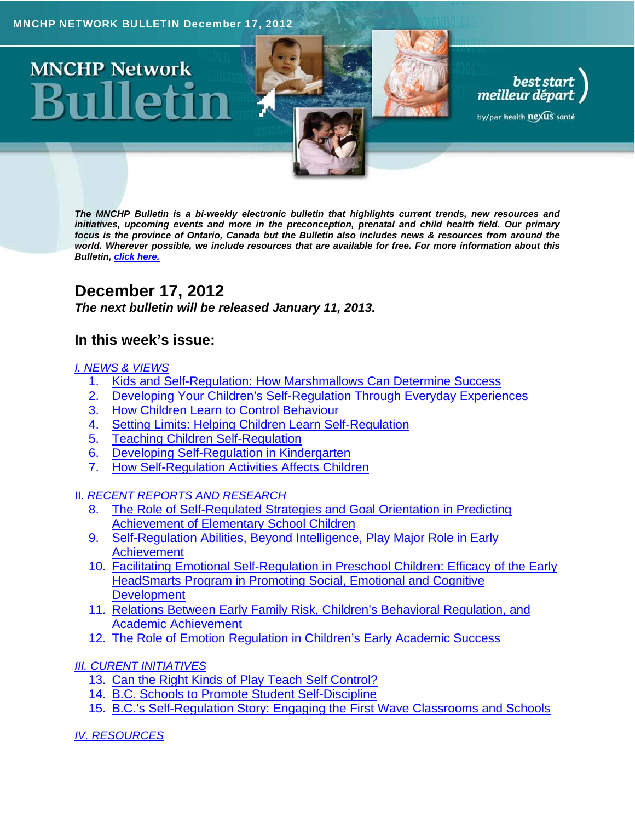

# **MNCHP Network**

*The MNCHP Bulletin is a bi-weekly electronic bulletin that highlights current trends, new resources and initiatives, upcoming events and more in the preconception, prenatal and child health field. Our primary focus is the province of Ontario, Canada but the Bulletin also includes news & resources from around the world. Wherever possible, we include resources that are available for free. For more information about this Bulletin, click here.*

best start<br>meilleur départ

by/par health nexus santé

## **December 17, 2012**

*The next bulletin will be released January 11, 2013.* 

### **In this week's issue:**

#### *I. NEWS & VIEWS*

- 1. Kids and Self-Regulation: How Marshmallows Can Determine Success
- 2. Developing Your Children's Self-Regulation Through Everyday Experiences
- 3. How Children Learn to Control Behaviour
- 4. Setting Limits: Helping Children Learn Self-Regulation
- 5. Teaching Children Self-Regulation
- 6. Developing Self-Regulation in Kindergarten
- 7. How Self-Regulation Activities Affects Children
- II. *RECENT REPORTS AND RESEARCH*
	- 8. The Role of Self-Regulated Strategies and Goal Orientation in Predicting Achievement of Elementary School Children
	- 9. Self-Regulation Abilities, Beyond Intelligence, Play Major Role in Early Achievement
	- 10. Facilitating Emotional Self-Regulation in Preschool Children: Efficacy of the Early HeadSmarts Program in Promoting Social, Emotional and Cognitive **Development**
	- 11. Relations Between Early Family Risk, Children's Behavioral Regulation, and Academic Achievement
	- 12. The Role of Emotion Regulation in Children's Early Academic Success
- *III. CURENT INITIATIVES* 
	- 13. Can the Right Kinds of Play Teach Self Control?
	- 14. B.C. Schools to Promote Student Self-Discipline
	- 15. B.C.'s Self-Regulation Story: Engaging the First Wave Classrooms and Schools

*IV. RESOURCES*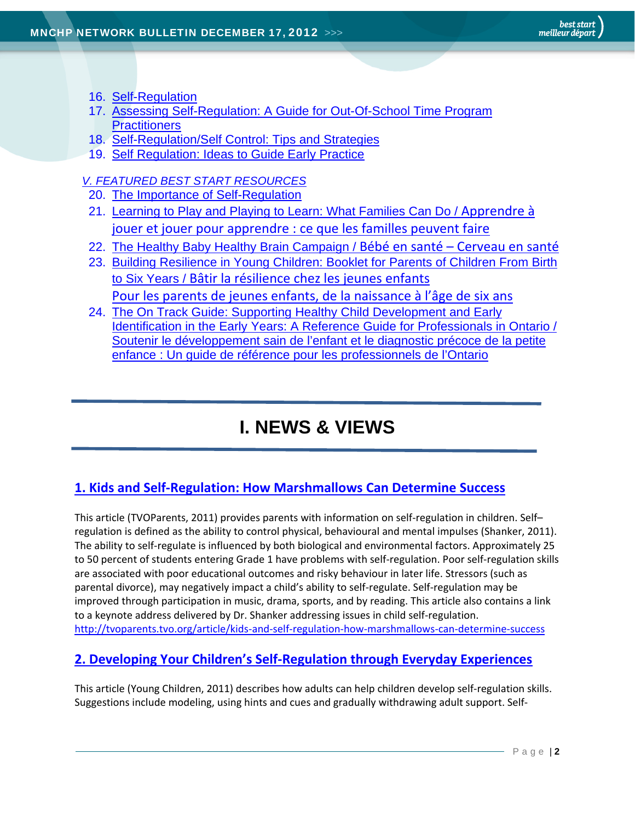- 16. Self-Regulation
- 17. Assessing Self-Regulation: A Guide for Out-Of-School Time Program **Practitioners**
- 18. Self-Regulation/Self Control: Tips and Strategies
- 19. Self Regulation: Ideas to Guide Early Practice

*V. FEATURED BEST START RESOURCES* 

- 20. The Importance of Self-Regulation
- 21. Learning to Play and Playing to Learn: What Families Can Do / Apprendre à jouer et jouer pour apprendre : ce que les familles peuvent faire
- 22. The Healthy Baby Healthy Brain Campaign / Bébé en santé Cerveau en santé
- 23. Building Resilience in Young Children: Booklet for Parents of Children From Birth to Six Years / Bâtir la résilience chez les jeunes enfants Pour les parents de jeunes enfants, de la naissance à l'âge de six ans
- 24. The On Track Guide: Supporting Healthy Child Development and Early Identification in the Early Years: A Reference Guide for Professionals in Ontario / Soutenir le développement sain de l'enfant et le diagnostic précoce de la petite enfance : Un guide de référence pour les professionnels de l'Ontario

## **I. NEWS & VIEWS**

#### **1. Kids and Self‐Regulation: How Marshmallows Can Determine Success**

This article (TVOParents, 2011) provides parents with information on self‐regulation in children. Self– regulation is defined as the ability to control physical, behavioural and mental impulses (Shanker, 2011). The ability to self‐regulate is influenced by both biological and environmental factors. Approximately 25 to 50 percent of students entering Grade 1 have problems with self-regulation. Poor self-regulation skills are associated with poor educational outcomes and risky behaviour in later life. Stressors (such as parental divorce), may negatively impact a child's ability to self-regulate. Self-regulation may be improved through participation in music, drama, sports, and by reading. This article also contains a link to a keynote address delivered by Dr. Shanker addressing issues in child self‐regulation. http://tvoparents.tvo.org/article/kids-and-self-regulation-how-marshmallows-can-determine-success

#### **2. Developing Your Children's Self‐Regulation through Everyday Experiences**

This article (Young Children, 2011) describes how adults can help children develop self‐regulation skills. Suggestions include modeling, using hints and cues and gradually withdrawing adult support. Self‐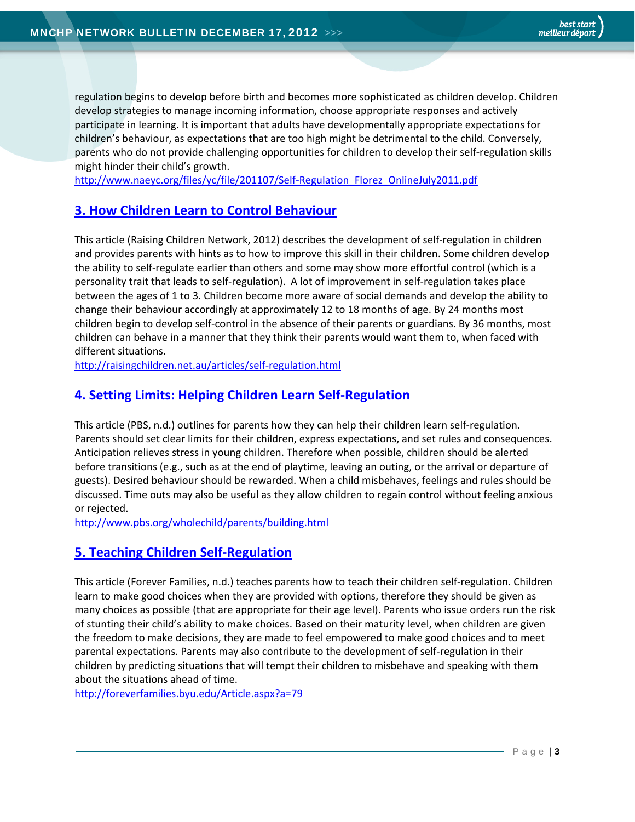regulation begins to develop before birth and becomes more sophisticated as children develop. Children develop strategies to manage incoming information, choose appropriate responses and actively participate in learning. It is important that adults have developmentally appropriate expectations for children's behaviour, as expectations that are too high might be detrimental to the child. Conversely, parents who do not provide challenging opportunities for children to develop their self‐regulation skills might hinder their child's growth.

http://www.naeyc.org/files/yc/file/201107/Self‐Regulation\_Florez\_OnlineJuly2011.pdf

#### **3. How Children Learn to Control Behaviour**

This article (Raising Children Network, 2012) describes the development of self‐regulation in children and provides parents with hints as to how to improve this skill in their children. Some children develop the ability to self‐regulate earlier than others and some may show more effortful control (which is a personality trait that leads to self‐regulation). A lot of improvement in self‐regulation takes place between the ages of 1 to 3. Children become more aware of social demands and develop the ability to change their behaviour accordingly at approximately 12 to 18 months of age. By 24 months most children begin to develop self‐control in the absence of their parents or guardians. By 36 months, most children can behave in a manner that they think their parents would want them to, when faced with different situations.

http://raisingchildren.net.au/articles/self‐regulation.html

#### **4. Setting Limits: Helping Children Learn Self‐Regulation**

This article (PBS, n.d.) outlines for parents how they can help their children learn self‐regulation. Parents should set clear limits for their children, express expectations, and set rules and consequences. Anticipation relieves stress in young children. Therefore when possible, children should be alerted before transitions (e.g., such as at the end of playtime, leaving an outing, or the arrival or departure of guests). Desired behaviour should be rewarded. When a child misbehaves, feelings and rules should be discussed. Time outs may also be useful as they allow children to regain control without feeling anxious or rejected.

http://www.pbs.org/wholechild/parents/building.html

#### **5. Teaching Children Self‐Regulation**

This article (Forever Families, n.d.) teaches parents how to teach their children self‐regulation. Children learn to make good choices when they are provided with options, therefore they should be given as many choices as possible (that are appropriate for their age level). Parents who issue orders run the risk of stunting their child's ability to make choices. Based on their maturity level, when children are given the freedom to make decisions, they are made to feel empowered to make good choices and to meet parental expectations. Parents may also contribute to the development of self‐regulation in their children by predicting situations that will tempt their children to misbehave and speaking with them about the situations ahead of time.

http://foreverfamilies.byu.edu/Article.aspx?a=79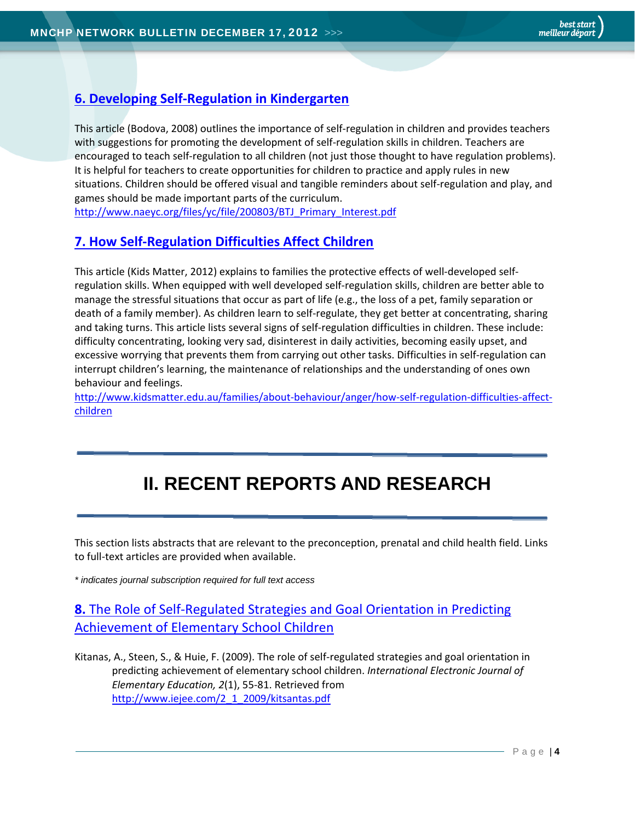#### **6. Developing Self‐Regulation in Kindergarten**

This article (Bodova, 2008) outlines the importance of self‐regulation in children and provides teachers with suggestions for promoting the development of self-regulation skills in children. Teachers are encouraged to teach self‐regulation to all children (not just those thought to have regulation problems). It is helpful for teachers to create opportunities for children to practice and apply rules in new situations. Children should be offered visual and tangible reminders about self-regulation and play, and games should be made important parts of the curriculum.

http://www.naeyc.org/files/yc/file/200803/BTJ\_Primary\_Interest.pdf

#### **7. How Self‐Regulation Difficulties Affect Children**

This article (Kids Matter, 2012) explains to families the protective effects of well‐developed self‐ regulation skills. When equipped with well developed self‐regulation skills, children are better able to manage the stressful situations that occur as part of life (e.g., the loss of a pet, family separation or death of a family member). As children learn to self-regulate, they get better at concentrating, sharing and taking turns. This article lists several signs of self‐regulation difficulties in children. These include: difficulty concentrating, looking very sad, disinterest in daily activities, becoming easily upset, and excessive worrying that prevents them from carrying out other tasks. Difficulties in self‐regulation can interrupt children's learning, the maintenance of relationships and the understanding of ones own behaviour and feelings.

http://www.kidsmatter.edu.au/families/about-behaviour/anger/how-self-regulation-difficulties-affectchildren

# **II. RECENT REPORTS AND RESEARCH**

This section lists abstracts that are relevant to the preconception, prenatal and child health field. Links to full‐text articles are provided when available.

*\* indicates journal subscription required for full text access*

**8.** The Role of Self‐Regulated Strategies and Goal Orientation in Predicting Achievement of Elementary School Children

Kitanas, A., Steen, S., & Huie, F. (2009). The role of self‐regulated strategies and goal orientation in predicting achievement of elementary school children. *International Electronic Journal of Elementary Education, 2*(1), 55‐81. Retrieved from http://www.iejee.com/2\_1\_2009/kitsantas.pdf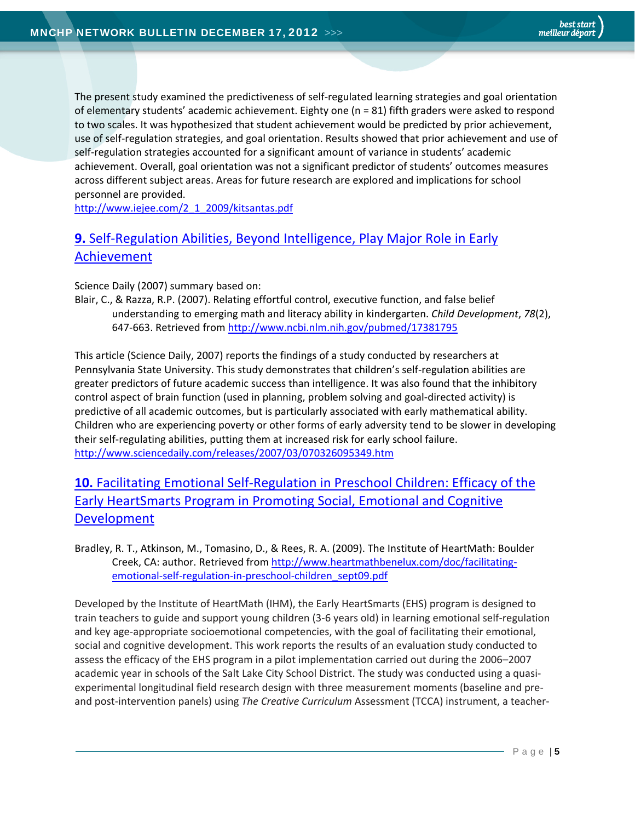The present study examined the predictiveness of self-regulated learning strategies and goal orientation of elementary students' academic achievement. Eighty one (n = 81) fifth graders were asked to respond to two scales. It was hypothesized that student achievement would be predicted by prior achievement, use of self‐regulation strategies, and goal orientation. Results showed that prior achievement and use of self-regulation strategies accounted for a significant amount of variance in students' academic achievement. Overall, goal orientation was not a significant predictor of students' outcomes measures across different subject areas. Areas for future research are explored and implications for school personnel are provided.

http://www.iejee.com/2\_1\_2009/kitsantas.pdf

#### **9.** Self-Regulation Abilities, Beyond Intelligence, Play Maior Role in Early Achievement

Science Daily (2007) summary based on:

Blair, C., & Razza, R.P. (2007). Relating effortful control, executive function, and false belief understanding to emerging math and literacy ability in kindergarten. *Child Development*, *78*(2), 647‐663. Retrieved from http://www.ncbi.nlm.nih.gov/pubmed/17381795

This article (Science Daily, 2007) reports the findings of a study conducted by researchers at Pennsylvania State University. This study demonstrates that children's self‐regulation abilities are greater predictors of future academic success than intelligence. It was also found that the inhibitory control aspect of brain function (used in planning, problem solving and goal‐directed activity) is predictive of all academic outcomes, but is particularly associated with early mathematical ability. Children who are experiencing poverty or other forms of early adversity tend to be slower in developing their self‐regulating abilities, putting them at increased risk for early school failure. http://www.sciencedaily.com/releases/2007/03/070326095349.htm

### **10.** Facilitating Emotional Self‐Regulation in Preschool Children: Efficacy of the Early HeartSmarts Program in Promoting Social, Emotional and Cognitive Development

Bradley, R. T., Atkinson, M., Tomasino, D., & Rees, R. A. (2009). The Institute of HeartMath: Boulder Creek, CA: author. Retrieved from http://www.heartmathbenelux.com/doc/facilitating‐ emotional-self-regulation-in-preschool-children\_sept09.pdf

Developed by the Institute of HeartMath (IHM), the Early HeartSmarts (EHS) program is designed to train teachers to guide and support young children (3‐6 years old) in learning emotional self‐regulation and key age-appropriate socioemotional competencies, with the goal of facilitating their emotional, social and cognitive development. This work reports the results of an evaluation study conducted to assess the efficacy of the EHS program in a pilot implementation carried out during the 2006–2007 academic year in schools of the Salt Lake City School District. The study was conducted using a quasi‐ experimental longitudinal field research design with three measurement moments (baseline and pre‐ and post‐intervention panels) using *The Creative Curriculum* Assessment (TCCA) instrument, a teacher‐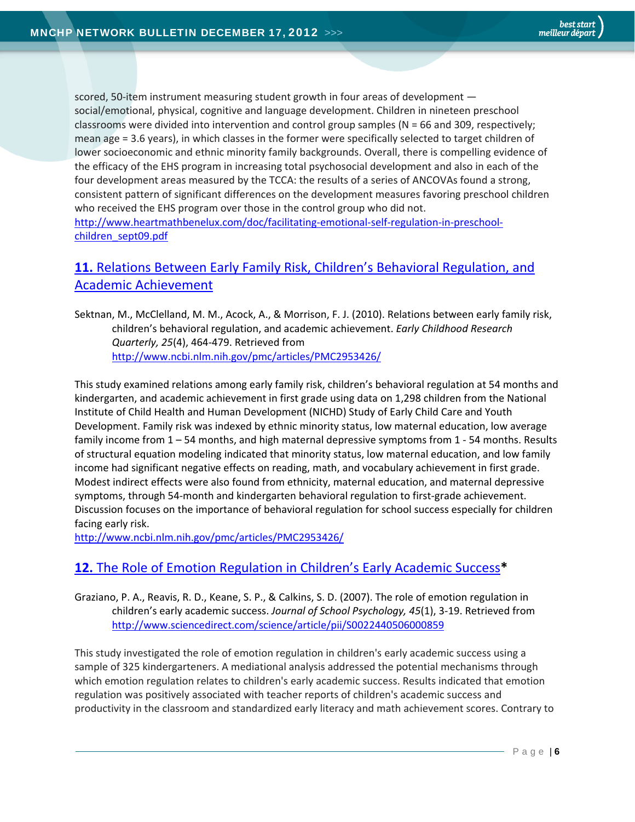scored, 50-item instrument measuring student growth in four areas of development social/emotional, physical, cognitive and language development. Children in nineteen preschool classrooms were divided into intervention and control group samples (N = 66 and 309, respectively; mean age = 3.6 years), in which classes in the former were specifically selected to target children of lower socioeconomic and ethnic minority family backgrounds. Overall, there is compelling evidence of the efficacy of the EHS program in increasing total psychosocial development and also in each of the four development areas measured by the TCCA: the results of a series of ANCOVAs found a strong, consistent pattern of significant differences on the development measures favoring preschool children who received the EHS program over those in the control group who did not. http://www.heartmathbenelux.com/doc/facilitating-emotional-self-regulation-in-preschoolchildren\_sept09.pdf

## **11.** Relations Between Early Family Risk, Children's Behavioral Regulation, and Academic Achievement

Sektnan, M., McClelland, M. M., Acock, A., & Morrison, F. J. (2010). Relations between early family risk, children's behavioral regulation, and academic achievement. *Early Childhood Research Quarterly, 25*(4), 464‐479. Retrieved from http://www.ncbi.nlm.nih.gov/pmc/articles/PMC2953426/

This study examined relations among early family risk, children's behavioral regulation at 54 months and kindergarten, and academic achievement in first grade using data on 1,298 children from the National Institute of Child Health and Human Development (NICHD) Study of Early Child Care and Youth Development. Family risk was indexed by ethnic minority status, low maternal education, low average family income from 1 – 54 months, and high maternal depressive symptoms from 1 - 54 months. Results of structural equation modeling indicated that minority status, low maternal education, and low family income had significant negative effects on reading, math, and vocabulary achievement in first grade. Modest indirect effects were also found from ethnicity, maternal education, and maternal depressive symptoms, through 54-month and kindergarten behavioral regulation to first-grade achievement. Discussion focuses on the importance of behavioral regulation for school success especially for children facing early risk.

http://www.ncbi.nlm.nih.gov/pmc/articles/PMC2953426/

#### **12.** The Role of Emotion Regulation in Children's Early Academic Success**\***

Graziano, P. A., Reavis, R. D., Keane, S. P., & Calkins, S. D. (2007). The role of emotion regulation in children's early academic success. *Journal of School Psychology, 45*(1), 3‐19. Retrieved from http://www.sciencedirect.com/science/article/pii/S0022440506000859

This study investigated the role of emotion regulation in children's early academic success using a sample of 325 kindergarteners. A mediational analysis addressed the potential mechanisms through which emotion regulation relates to children's early academic success. Results indicated that emotion regulation was positively associated with teacher reports of children's academic success and productivity in the classroom and standardized early literacy and math achievement scores. Contrary to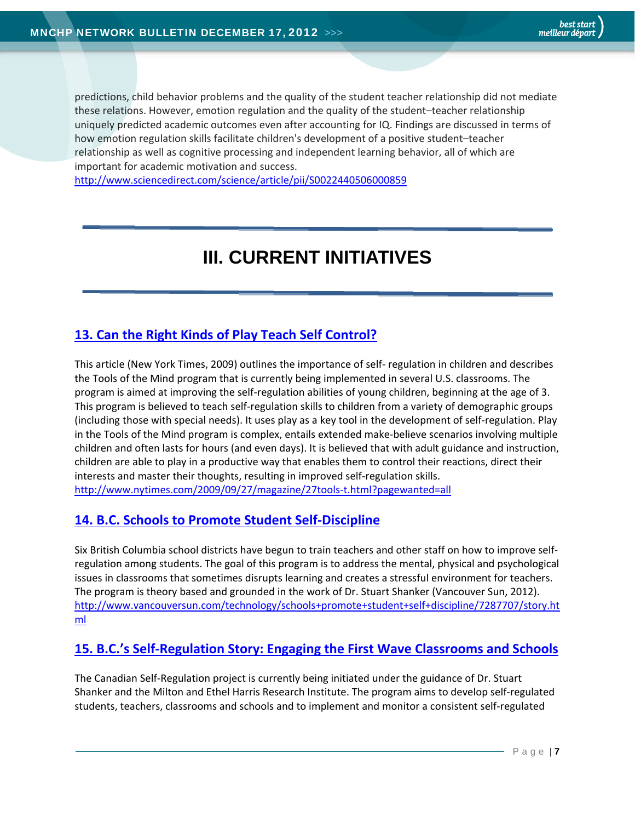predictions, child behavior problems and the quality of the student teacher relationship did not mediate these relations. However, emotion regulation and the quality of the student–teacher relationship uniquely predicted academic outcomes even after accounting for IQ. Findings are discussed in terms of how emotion regulation skills facilitate children's development of a positive student–teacher relationship as well as cognitive processing and independent learning behavior, all of which are important for academic motivation and success.

http://www.sciencedirect.com/science/article/pii/S0022440506000859

## **III. CURRENT INITIATIVES**

#### **13. Can the Right Kinds of Play Teach Self Control?**

This article (New York Times, 2009) outlines the importance of self‐ regulation in children and describes the Tools of the Mind program that is currently being implemented in several U.S. classrooms. The program is aimed at improving the self‐regulation abilities of young children, beginning at the age of 3. This program is believed to teach self-regulation skills to children from a variety of demographic groups (including those with special needs). It uses play as a key tool in the development of self‐regulation. Play in the Tools of the Mind program is complex, entails extended make‐believe scenarios involving multiple children and often lasts for hours (and even days). It is believed that with adult guidance and instruction, children are able to play in a productive way that enables them to control their reactions, direct their interests and master their thoughts, resulting in improved self‐regulation skills. http://www.nytimes.com/2009/09/27/magazine/27tools‐t.html?pagewanted=all

#### **14. B.C. Schools to Promote Student Self‐Discipline**

Six British Columbia school districts have begun to train teachers and other staff on how to improve self‐ regulation among students. The goal of this program is to address the mental, physical and psychological issues in classrooms that sometimes disrupts learning and creates a stressful environment for teachers. The program is theory based and grounded in the work of Dr. Stuart Shanker (Vancouver Sun, 2012). http://www.vancouversun.com/technology/schools+promote+student+self+discipline/7287707/story.ht ml

#### **15. B.C.'s Self‐Regulation Story: Engaging the First Wave Classrooms and Schools**

The Canadian Self‐Regulation project is currently being initiated under the guidance of Dr. Stuart Shanker and the Milton and Ethel Harris Research Institute. The program aims to develop self‐regulated students, teachers, classrooms and schools and to implement and monitor a consistent self‐regulated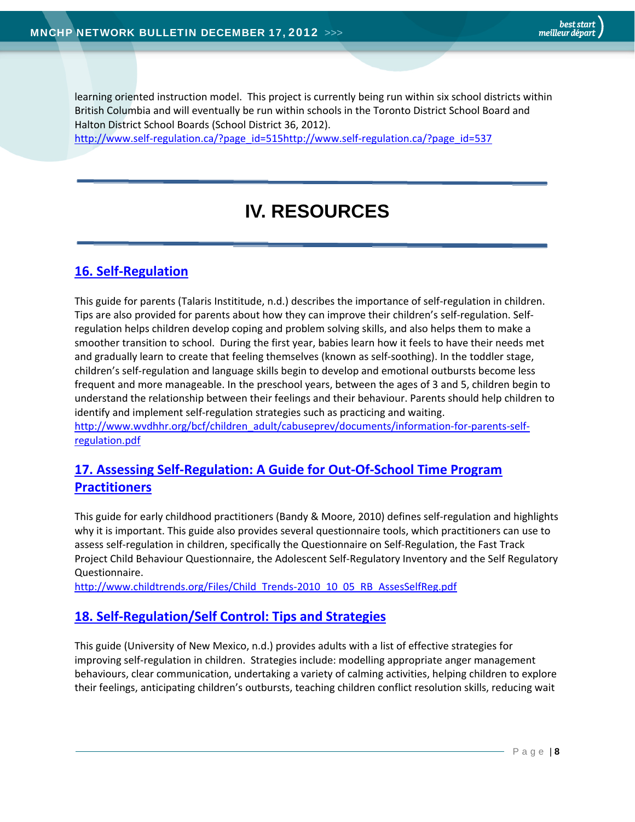learning oriented instruction model. This project is currently being run within six school districts within British Columbia and will eventually be run within schools in the Toronto District School Board and Halton District School Boards (School District 36, 2012).

http://www.self‐regulation.ca/?page\_id=515http://www.self‐regulation.ca/?page\_id=537

## **IV. RESOURCES**

#### **16. Self‐Regulation**

This guide for parents (Talaris Instititude, n.d.) describes the importance of self‐regulation in children. Tips are also provided for parents about how they can improve their children's self‐regulation. Self‐ regulation helps children develop coping and problem solving skills, and also helps them to make a smoother transition to school. During the first year, babies learn how it feels to have their needs met and gradually learn to create that feeling themselves (known as self‐soothing). In the toddler stage, children's self‐regulation and language skills begin to develop and emotional outbursts become less frequent and more manageable. In the preschool years, between the ages of 3 and 5, children begin to understand the relationship between their feelings and their behaviour. Parents should help children to identify and implement self‐regulation strategies such as practicing and waiting. http://www.wvdhhr.org/bcf/children\_adult/cabuseprev/documents/information-for-parents-self-

regulation.pdf

#### **17. Assessing Self‐Regulation: A Guide for Out‐Of‐School Time Program Practitioners**

This guide for early childhood practitioners (Bandy & Moore, 2010) defines self‐regulation and highlights why it is important. This guide also provides several questionnaire tools, which practitioners can use to assess self‐regulation in children, specifically the Questionnaire on Self‐Regulation, the Fast Track Project Child Behaviour Questionnaire, the Adolescent Self‐Regulatory Inventory and the Self Regulatory Questionnaire.

http://www.childtrends.org/Files/Child\_Trends-2010\_10\_05\_RB\_AssesSelfReg.pdf

#### **18. Self‐Regulation/Self Control: Tips and Strategies**

This guide (University of New Mexico, n.d.) provides adults with a list of effective strategies for improving self-regulation in children. Strategies include: modelling appropriate anger management behaviours, clear communication, undertaking a variety of calming activities, helping children to explore their feelings, anticipating children's outbursts, teaching children conflict resolution skills, reducing wait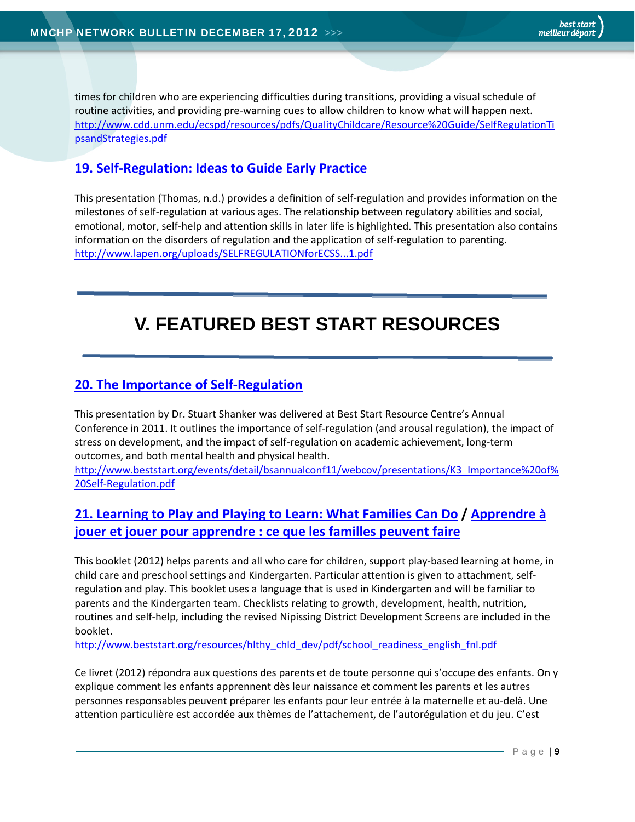times for children who are experiencing difficulties during transitions, providing a visual schedule of routine activities, and providing pre‐warning cues to allow children to know what will happen next. http://www.cdd.unm.edu/ecspd/resources/pdfs/QualityChildcare/Resource%20Guide/SelfRegulationTi psandStrategies.pdf

#### **19. Self‐Regulation: Ideas to Guide Early Practice**

This presentation (Thomas, n.d.) provides a definition of self‐regulation and provides information on the milestones of self‐regulation at various ages. The relationship between regulatory abilities and social, emotional, motor, self‐help and attention skills in later life is highlighted. This presentation also contains information on the disorders of regulation and the application of self‐regulation to parenting. http://www.lapen.org/uploads/SELFREGULATIONforECSS...1.pdf

## **V. FEATURED BEST START RESOURCES**

#### **20. The Importance of Self‐Regulation**

This presentation by Dr. Stuart Shanker was delivered at Best Start Resource Centre's Annual Conference in 2011. It outlines the importance of self-regulation (and arousal regulation), the impact of stress on development, and the impact of self‐regulation on academic achievement, long‐term outcomes, and both mental health and physical health.

http://www.beststart.org/events/detail/bsannualconf11/webcov/presentations/K3\_Importance%20of% 20Self‐Regulation.pdf

#### **21. Learning to Play and Playing to Learn: What Families Can Do / Apprendre à jouer et jouer pour apprendre : ce que les familles peuvent faire**

This booklet (2012) helps parents and all who care for children, support play‐based learning at home, in child care and preschool settings and Kindergarten. Particular attention is given to attachment, self‐ regulation and play. This booklet uses a language that is used in Kindergarten and will be familiar to parents and the Kindergarten team. Checklists relating to growth, development, health, nutrition, routines and self‐help, including the revised Nipissing District Development Screens are included in the booklet.

http://www.beststart.org/resources/hlthy\_chld\_dev/pdf/school\_readiness\_english\_fnl.pdf

Ce livret (2012) répondra aux questions des parents et de toute personne qui s'occupe des enfants. On y explique comment les enfants apprennent dès leur naissance et comment les parents et les autres personnes responsables peuvent préparer les enfants pour leur entrée à la maternelle et au‐delà. Une attention particulière est accordée aux thèmes de l'attachement, de l'autorégulation et du jeu. C'est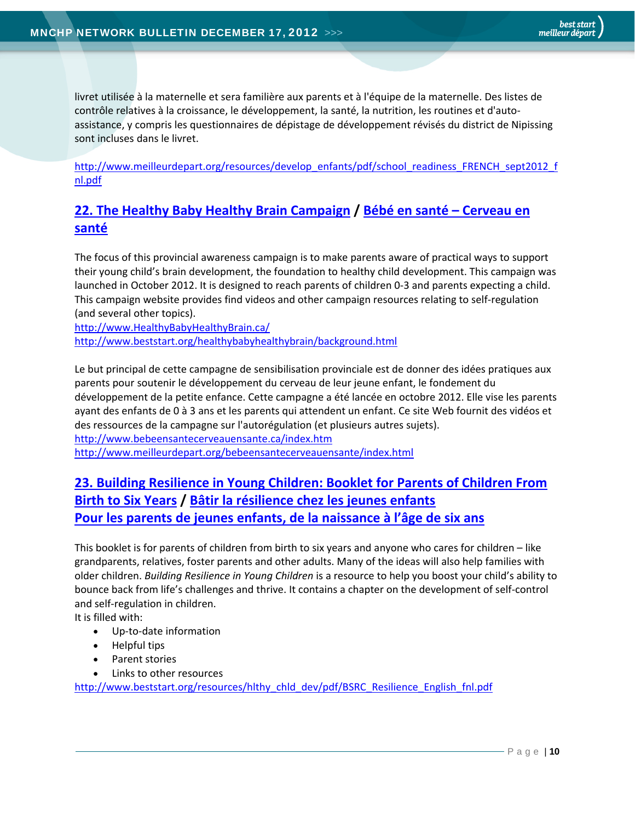livret utilisée à la maternelle et sera familière aux parents et à l'équipe de la maternelle. Des listes de contrôle relatives à la croissance, le développement, la santé, la nutrition, les routines et d'auto‐ assistance, y compris les questionnaires de dépistage de développement révisés du district de Nipissing sont incluses dans le livret.

http://www.meilleurdepart.org/resources/develop\_enfants/pdf/school\_readiness\_FRENCH\_sept2012\_f nl.pdf

#### **22. The Healthy Baby Healthy Brain Campaign / Bébé en santé – Cerveau en santé**

The focus of this provincial awareness campaign is to make parents aware of practical ways to support their young child's brain development, the foundation to healthy child development. This campaign was launched in October 2012. It is designed to reach parents of children 0‐3 and parents expecting a child. This campaign website provides find videos and other campaign resources relating to self‐regulation (and several other topics).

http://www.HealthyBabyHealthyBrain.ca/ http://www.beststart.org/healthybabyhealthybrain/background.html

Le but principal de cette campagne de sensibilisation provinciale est de donner des idées pratiques aux parents pour soutenir le développement du cerveau de leur jeune enfant, le fondement du développement de la petite enfance. Cette campagne a été lancée en octobre 2012. Elle vise les parents ayant des enfants de 0 à 3 ans et les parents qui attendent un enfant. Ce site Web fournit des vidéos et des ressources de la campagne sur l'autorégulation (et plusieurs autres sujets). http://www.bebeensantecerveauensante.ca/index.htm http://www.meilleurdepart.org/bebeensantecerveauensante/index.html

#### **23. Building Resilience in Young Children: Booklet for Parents of Children From Birth to Six Years / Bâtir la résilience chez les jeunes enfants Pour les parents de jeunes enfants, de la naissance à l'âge de six ans**

This booklet is for parents of children from birth to six years and anyone who cares for children – like grandparents, relatives, foster parents and other adults. Many of the ideas will also help families with older children. *Building Resilience in Young Children* is a resource to help you boost your child's ability to bounce back from life's challenges and thrive. It contains a chapter on the development of self‐control and self‐regulation in children.

It is filled with:

- Up‐to‐date information
- Helpful tips
- Parent stories
- Links to other resources

http://www.beststart.org/resources/hlthy\_chld\_dev/pdf/BSRC\_Resilience\_English\_fnl.pdf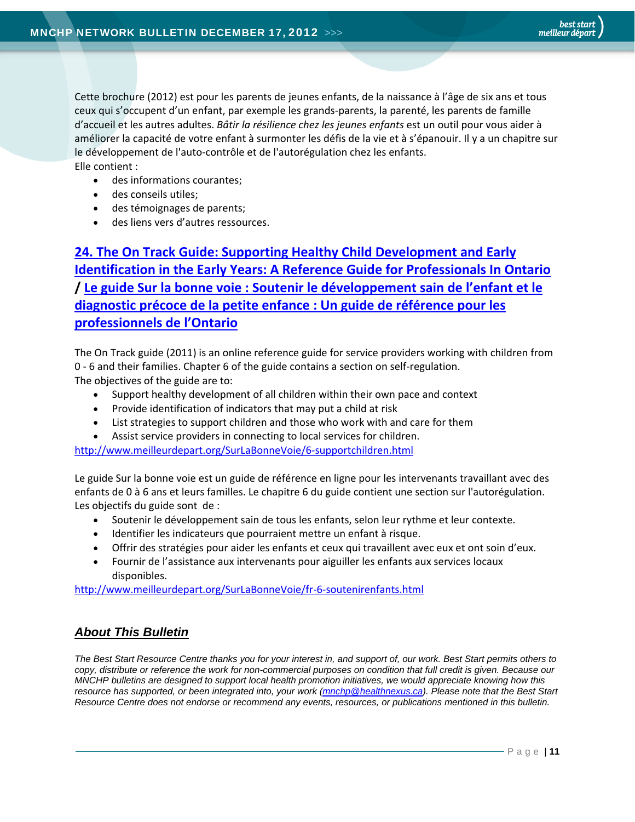Cette brochure (2012) est pour les parents de jeunes enfants, de la naissance à l'âge de six ans et tous ceux qui s'occupent d'un enfant, par exemple les grands‐parents, la parenté, les parents de famille d'accueil et les autres adultes. *Bâtir la résilience chez les jeunes enfants* est un outil pour vous aider à améliorer la capacité de votre enfant à surmonter les défis de la vie et à s'épanouir. Il y a un chapitre sur le développement de l'auto‐contrôle et de l'autorégulation chez les enfants. Elle contient :

- des informations courantes;
- des conseils utiles;
- des témoignages de parents;
- des liens vers d'autres ressources.

**24. The On Track Guide: Supporting Healthy Child Development and Early Identification in the Early Years: A Reference Guide for Professionals In Ontario / Le guide Sur la bonne voie : Soutenir le développement sain de l'enfant et le diagnostic précoce de la petite enfance : Un guide de référence pour les professionnels de l'Ontario**

The On Track guide (2011) is an online reference guide for service providers working with children from 0 ‐ 6 and their families. Chapter 6 of the guide contains a section on self‐regulation. The objectives of the guide are to:

- Support healthy development of all children within their own pace and context
- Provide identification of indicators that may put a child at risk
- List strategies to support children and those who work with and care for them
- Assist service providers in connecting to local services for children.

http://www.meilleurdepart.org/SurLaBonneVoie/6‐supportchildren.html

Le guide Sur la bonne voie est un guide de référence en ligne pour les intervenants travaillant avec des enfants de 0 à 6 ans et leurs familles. Le chapitre 6 du guide contient une section sur l'autorégulation. Les objectifs du guide sont de :

- Soutenir le développement sain de tous les enfants, selon leur rythme et leur contexte.
- Identifier les indicateurs que pourraient mettre un enfant à risque.
- Offrir des stratégies pour aider les enfants et ceux qui travaillent avec eux et ont soin d'eux.
- Fournir de l'assistance aux intervenants pour aiguiller les enfants aux services locaux disponibles.

http://www.meilleurdepart.org/SurLaBonneVoie/fr‐6‐soutenirenfants.html

#### *About This Bulletin*

*The Best Start Resource Centre thanks you for your interest in, and support of, our work. Best Start permits others to copy, distribute or reference the work for non-commercial purposes on condition that full credit is given. Because our MNCHP bulletins are designed to support local health promotion initiatives, we would appreciate knowing how this resource has supported, or been integrated into, your work (mnchp@healthnexus.ca). Please note that the Best Start Resource Centre does not endorse or recommend any events, resources, or publications mentioned in this bulletin.*